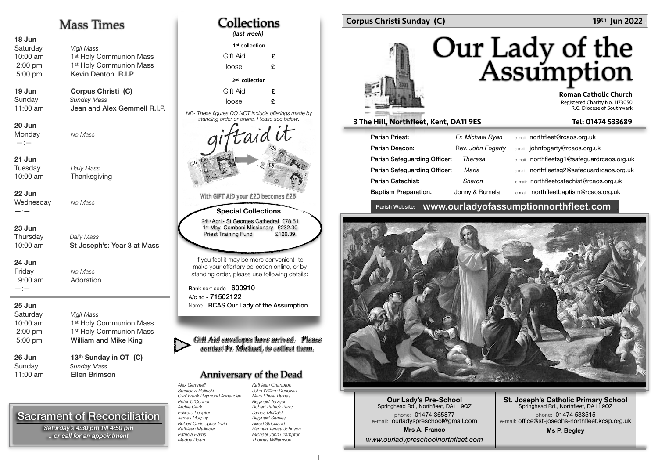#### Mass Times **18 Jun Saturday Vigil Mass** 10:00 am 1<sup>st</sup> Holy Communion Mass 1st Holy Communion Mass 2:00 pm Kevin Denton R.I.P. 5:00 pm **19 Jun Corpus Christi (C) Sundav** Sunday Mass 11:00 am Jean and Alex Gemmell R.I.P. **20 Jun Monday** No Mass —:— **21 Jun Tuesdav** Daily Mass 10:00 am Thanksgiving **22 Jun Wednesday** No Mass —:— **23 Jun Thursdav** Daily Mass 10:00 am St Joseph's: Year 3 at Mass **24 Jun**  Friday No Mass Adoration 9:00 am —:— **25 Jun**  Saturday **Vigil Mass** 10:00 am 1st Holy Communion Mass 2:00 pm 1<sup>st</sup> Holy Communion Mass William and Mike King 5:00 pm 26 Jun 13<sup>th</sup> Sunday in OT (C) Sunday Sunday Mass 11:00 am **Ellen Brimson**

## Sacrament of Reconciliation

\*If you would like a Mass said on a particular day; *Please, give enough notice. .. or call for an appointment Saturday's 4:30 pm till 4:50 pm* 

| Collections<br>(last week)                                                                                                                                  |                                                                                                                                                        |  |  |  |
|-------------------------------------------------------------------------------------------------------------------------------------------------------------|--------------------------------------------------------------------------------------------------------------------------------------------------------|--|--|--|
| 1 <sup>st</sup> collection                                                                                                                                  |                                                                                                                                                        |  |  |  |
| Gift Aid                                                                                                                                                    | £                                                                                                                                                      |  |  |  |
| loose                                                                                                                                                       | £                                                                                                                                                      |  |  |  |
| 2 <sup>nd</sup> collection                                                                                                                                  |                                                                                                                                                        |  |  |  |
| Gift Aid                                                                                                                                                    | £                                                                                                                                                      |  |  |  |
| loose                                                                                                                                                       | £                                                                                                                                                      |  |  |  |
| NB- These figures DO NOT include offerings made by<br>standing order or online. Please see below.                                                           |                                                                                                                                                        |  |  |  |
| aid c<br>With GIFT AID your £20 becomes £25                                                                                                                 |                                                                                                                                                        |  |  |  |
|                                                                                                                                                             |                                                                                                                                                        |  |  |  |
| <b>Special Collections</b><br>24th April- St Georges Cathedral £78.51<br>1st May Comboni Missionary £232.30<br><b>Priest Training Fund</b><br>£126.39.      |                                                                                                                                                        |  |  |  |
| If you feel it may be more convenient to<br>make your offertory collection online, or by<br>standing order, please use following details:                   |                                                                                                                                                        |  |  |  |
| Bank sort code - 600910<br>A/c no - 71502122                                                                                                                |                                                                                                                                                        |  |  |  |
| Name - RCAS Our Lady of the Assumption                                                                                                                      |                                                                                                                                                        |  |  |  |
| Gift Aid envelopes have arrived. Please<br>contact Fr. Michael, to collect them.                                                                            |                                                                                                                                                        |  |  |  |
| <b>Anniversary of the Dead</b>                                                                                                                              |                                                                                                                                                        |  |  |  |
| <b>Alex Gemmell</b><br>Stanislaw Halinski<br>Cyril Frank Raymond Ashenden<br>Peter O'Connor<br><b>Archie Clark</b><br><b>Edward Longton</b><br>James Murnhy | Kathleen Crampton<br>John William Donovan<br>Mary Sheila Raines<br>Reginald Terzgon<br><b>Robert Patrick Perry</b><br>James McDaid<br>Reginald Stanley |  |  |  |

*Robert Christopher Irwin Kathleen Mallinder Patricia Harris Madge Dolan* 

 $\Gamma$ 

#### Corpus Christi Sunday (C) 2002 . 2012 . 2013 . 2022 . 2014 . 2022 . 2014 . 2022 . 2014 . 2022 . 2014 . 2014 . 2015 . 2016 . 2016 . 2016 . 2016 . 2016 . 2016 . 2016 . 2016 . 2016 . 2016 . 2016 . 2016 . 2016 . 2016 . 2016 .

# Our Lady of the<br>Assumption

 Roman Catholic Church Registered Charity No. 1173050 R.C. Diocese of Southwark

#### 3 The Hill, Northfleet, Kent, DA11 9ES Tel: 01474 533689

| Parish Priest: New York 1997                      | Fr. Michael Ryan $\_\_\_\$ e-mail: northfleet@rcaos.org.uk |                                                                                                      |
|---------------------------------------------------|------------------------------------------------------------|------------------------------------------------------------------------------------------------------|
| Parish Deacon: The Contract of the Parish Deacon: |                                                            | Rev. John Fogarty e-mail: johnfogarty@rcaos.org.uk                                                   |
|                                                   |                                                            | Parish Safeguarding Officer: __ Theresa __________ e-mail: northfleetsg1@safeguardrcaos.org.uk       |
|                                                   |                                                            | <b>Parish Safequarding Officer:</b> Maria <b>Maria Algebrary Accord Parish Safequardrcaos.org.uk</b> |
|                                                   |                                                            | <b>Parish Catechist:</b> Sharon <b>Category Sharon</b> e-mail: northfleetcatechist@rcaos.org.uk      |
| Baptism Preparation.                              |                                                            | Jonny & Rumela ______e-mail northfleetbaptism@rcaos.org.uk                                           |

### Parish Website: **www.ourladyofassumptionnorthfleet.com** .



**Our Lady's Pre-School**  Springhead Rd., Northfleet, DA11 9QZ phone: 01474 365877 e-mail: ourladyspreschool@gmail.com **Mrs A. Franco** *www.ourladypreschoolnorthfleet.com*

**St. Joseph's Catholic Primary School** Springhead Rd., Northfleet, DA11 9QZ phone: 01474 533515 e-mail: office@st-josephs-northfleet.kcsp.org.uk

**Ms P. Begley**

*Alfred Strickland Hannah Teresa Johnson Michael John Crampton Thomas Williamson*